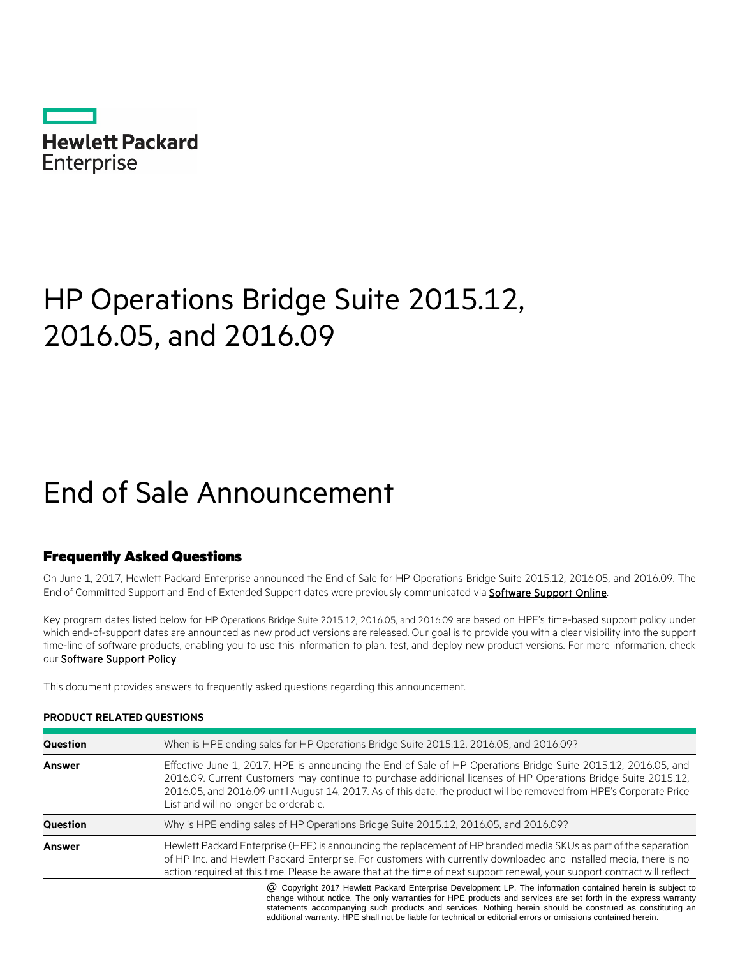| <b>Hewlett Packard</b> |  |
|------------------------|--|
| <b>Enterprise</b>      |  |
|                        |  |

# HP Operations Bridge Suite 2015.12, 2016.05, and 2016.09

# End of Sale Announcement

### Frequently Asked Questions

On June 1, 2017, Hewlett Packard Enterprise announced the End of Sale for HP Operations Bridge Suite 2015.12, 2016.05, and 2016.09. The End of Committed Support and End of Extended Support dates were previously communicated via **Software Support Online**.

Key program dates listed below for HP Operations Bridge Suite 2015.12, 2016.05, and 2016.09 are based on HPE's time-based support policy under which end-of-support dates are announced as new product versions are released. Our goal is to provide you with a clear visibility into the support time-line of software products, enabling you to use this information to plan, test, and deploy new product versions. For more information, check our **Software Support Policy**.

This document provides answers to frequently asked questions regarding this announcement.

| Question      | When is HPE ending sales for HP Operations Bridge Suite 2015.12, 2016.05, and 2016.09?                                                                                                                                                                                                                                                                                                          |
|---------------|-------------------------------------------------------------------------------------------------------------------------------------------------------------------------------------------------------------------------------------------------------------------------------------------------------------------------------------------------------------------------------------------------|
| <b>Answer</b> | Effective June 1, 2017, HPE is announcing the End of Sale of HP Operations Bridge Suite 2015.12, 2016.05, and<br>2016.09. Current Customers may continue to purchase additional licenses of HP Operations Bridge Suite 2015.12.<br>2016.05, and 2016.09 until August 14, 2017. As of this date, the product will be removed from HPE's Corporate Price<br>List and will no longer be orderable. |
| Question      | Why is HPE ending sales of HP Operations Bridge Suite 2015.12, 2016.05, and 2016.09?                                                                                                                                                                                                                                                                                                            |
| <b>Answer</b> | Hewlett Packard Enterprise (HPE) is announcing the replacement of HP branded media SKUs as part of the separation<br>of HP Inc. and Hewlett Packard Enterprise. For customers with currently downloaded and installed media, there is no<br>action required at this time. Please be aware that at the time of next support renewal, your support contract will reflect                          |
|               | @ Copyright 2017 Hewlett Packard Enterprise Development LP. The information contained herein is subject to<br>change without notice. The only warranties for HPE products and services are set forth in the express warranty                                                                                                                                                                    |

### **PRODUCT RELATED QUESTIONS**

change without notice. The only warranties for HPE products and services are set forth in the express warranty statements accompanying such products and services. Nothing herein should be construed as constituting an additional warranty. HPE shall not be liable for technical or editorial errors or omissions contained herein.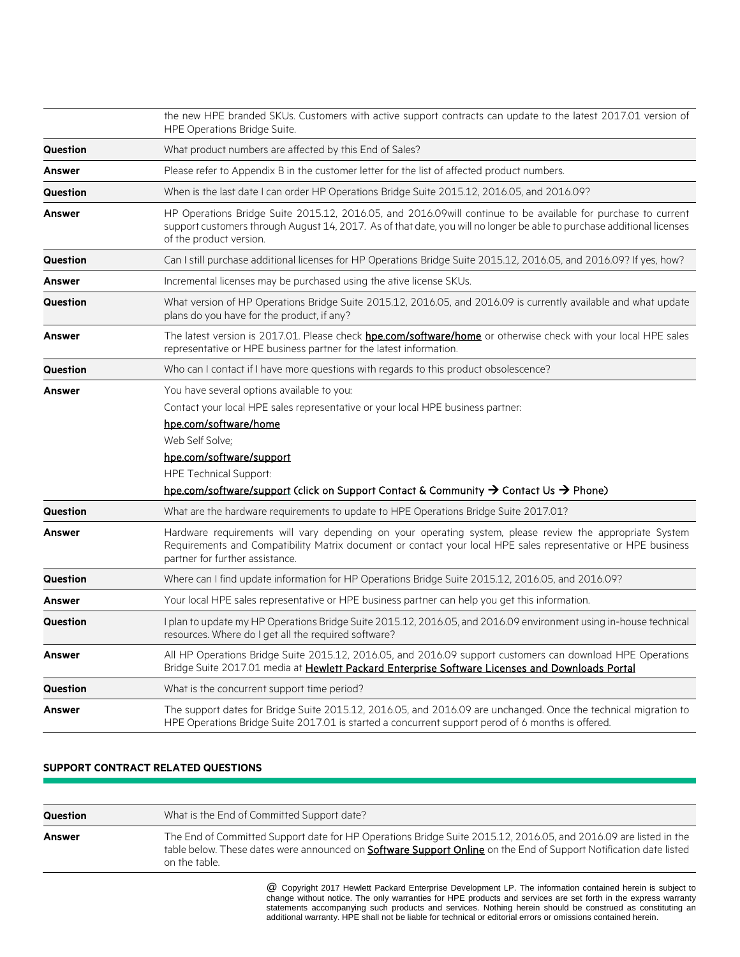|          | the new HPE branded SKUs. Customers with active support contracts can update to the latest 2017.01 version of<br><b>HPE Operations Bridge Suite.</b>                                                                                                                                                                                  |  |
|----------|---------------------------------------------------------------------------------------------------------------------------------------------------------------------------------------------------------------------------------------------------------------------------------------------------------------------------------------|--|
| Question | What product numbers are affected by this End of Sales?                                                                                                                                                                                                                                                                               |  |
| Answer   | Please refer to Appendix B in the customer letter for the list of affected product numbers.                                                                                                                                                                                                                                           |  |
| Question | When is the last date I can order HP Operations Bridge Suite 2015.12, 2016.05, and 2016.09?                                                                                                                                                                                                                                           |  |
| Answer   | HP Operations Bridge Suite 2015.12, 2016.05, and 2016.09will continue to be available for purchase to current<br>support customers through August 14, 2017. As of that date, you will no longer be able to purchase additional licenses<br>of the product version.                                                                    |  |
| Question | Can I still purchase additional licenses for HP Operations Bridge Suite 2015.12, 2016.05, and 2016.09? If yes, how?                                                                                                                                                                                                                   |  |
| Answer   | Incremental licenses may be purchased using the ative license SKUs.                                                                                                                                                                                                                                                                   |  |
| Question | What version of HP Operations Bridge Suite 2015.12, 2016.05, and 2016.09 is currently available and what update<br>plans do you have for the product, if any?                                                                                                                                                                         |  |
| Answer   | The latest version is 2017.01. Please check hpe.com/software/home or otherwise check with your local HPE sales<br>representative or HPE business partner for the latest information.                                                                                                                                                  |  |
| Question | Who can I contact if I have more questions with regards to this product obsolescence?                                                                                                                                                                                                                                                 |  |
| Answer   | You have several options available to you:<br>Contact your local HPE sales representative or your local HPE business partner:<br><u>hpe.com/software/home</u><br>Web Self Solve:<br>hpe.com/software/support<br><b>HPE Technical Support:</b><br>hpe.com/software/support (click on Support Contact & Community → Contact Us → Phone) |  |
| Question | What are the hardware requirements to update to HPE Operations Bridge Suite 2017.01?                                                                                                                                                                                                                                                  |  |
| Answer   | Hardware requirements will vary depending on your operating system, please review the appropriate System<br>Requirements and Compatibility Matrix document or contact your local HPE sales representative or HPE business<br>partner for further assistance.                                                                          |  |
| Question | Where can I find update information for HP Operations Bridge Suite 2015.12, 2016.05, and 2016.09?                                                                                                                                                                                                                                     |  |
| Answer   | Your local HPE sales representative or HPE business partner can help you get this information.                                                                                                                                                                                                                                        |  |
| Question | I plan to update my HP Operations Bridge Suite 2015.12, 2016.05, and 2016.09 environment using in-house technical<br>resources. Where do I get all the required software?                                                                                                                                                             |  |
| Answer   | All HP Operations Bridge Suite 2015.12, 2016.05, and 2016.09 support customers can download HPE Operations<br>Bridge Suite 2017.01 media at Hewlett Packard Enterprise Software Licenses and Downloads Portal                                                                                                                         |  |
| Question | What is the concurrent support time period?                                                                                                                                                                                                                                                                                           |  |
| Answer   | The support dates for Bridge Suite 2015.12, 2016.05, and 2016.09 are unchanged. Once the technical migration to<br>HPE Operations Bridge Suite 2017.01 is started a concurrent support perod of 6 months is offered.                                                                                                                  |  |

### **SUPPORT CONTRACT RELATED QUESTIONS**

| Question | What is the End of Committed Support date?                                                                                                                                                                                                                    |
|----------|---------------------------------------------------------------------------------------------------------------------------------------------------------------------------------------------------------------------------------------------------------------|
| Answer   | The End of Committed Support date for HP Operations Bridge Suite 2015.12, 2016.05, and 2016.09 are listed in the<br>table below. These dates were announced on <b>Software Support Online</b> on the End of Support Notification date listed<br>on the table. |

@ Copyright 2017 Hewlett Packard Enterprise Development LP. The information contained herein is subject to change without notice. The only warranties for HPE products and services are set forth in the express warranty statements accompanying such products and services. Nothing herein should be construed as constituting an additional warranty. HPE shall not be liable for technical or editorial errors or omissions contained herein.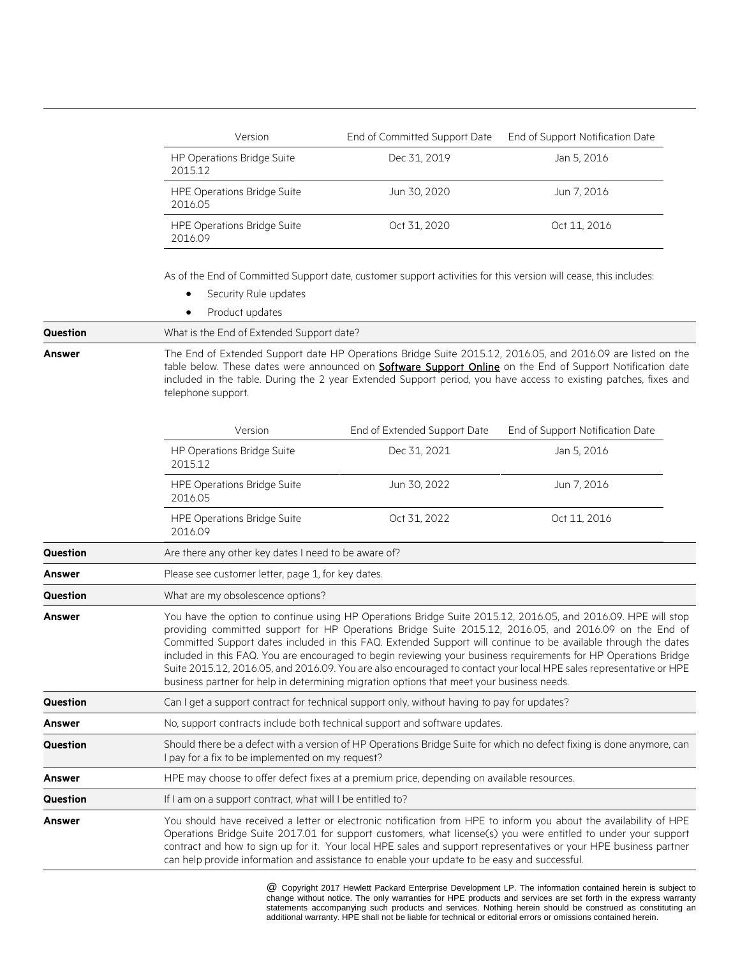| Version                                       | End of Committed Support Date | End of Support Notification Date |
|-----------------------------------------------|-------------------------------|----------------------------------|
| <b>HP Operations Bridge Suite</b><br>201512   | Dec 31, 2019                  | Jan 5, 2016                      |
| <b>HPE Operations Bridge Suite</b><br>2016.05 | Jun 30, 2020                  | Jun 7, 2016                      |
| <b>HPE Operations Bridge Suite</b><br>201609  | Oct 31, 2020                  | Oct 11, 2016                     |

As of the End of Committed Support date, customer support activities for this version will cease, this includes:

| Security Rule updates |
|-----------------------|
|-----------------------|

• Product updates

**Question** What is the End of Extended Support date?

**Answer** The End of Extended Support date HP Operations Bridge Suite 2015.12, 2016.05, and 2016.09 are listed on the table below. These dates were announced on **Software Support Online** on the End of Support Notification date included in the table. During the 2 year Extended Support period, you have access to existing patches, fixes and telephone support.

|                 | Version                                                                                                                                                                                                                                                                                                                                                                                                                                                                                                                                                                                                                                                                         | End of Extended Support Date                                                                 | End of Support Notification Date                                                                                                                                                                                                                                                                                                                         |
|-----------------|---------------------------------------------------------------------------------------------------------------------------------------------------------------------------------------------------------------------------------------------------------------------------------------------------------------------------------------------------------------------------------------------------------------------------------------------------------------------------------------------------------------------------------------------------------------------------------------------------------------------------------------------------------------------------------|----------------------------------------------------------------------------------------------|----------------------------------------------------------------------------------------------------------------------------------------------------------------------------------------------------------------------------------------------------------------------------------------------------------------------------------------------------------|
|                 | HP Operations Bridge Suite<br>2015.12                                                                                                                                                                                                                                                                                                                                                                                                                                                                                                                                                                                                                                           | Dec 31, 2021                                                                                 | Jan 5, 2016                                                                                                                                                                                                                                                                                                                                              |
|                 | <b>HPE Operations Bridge Suite</b><br>2016.05                                                                                                                                                                                                                                                                                                                                                                                                                                                                                                                                                                                                                                   | Jun 30, 2022                                                                                 | Jun 7, 2016                                                                                                                                                                                                                                                                                                                                              |
|                 | <b>HPE Operations Bridge Suite</b><br>2016.09                                                                                                                                                                                                                                                                                                                                                                                                                                                                                                                                                                                                                                   | Oct 31, 2022                                                                                 | Oct 11, 2016                                                                                                                                                                                                                                                                                                                                             |
| <b>Question</b> | Are there any other key dates I need to be aware of?                                                                                                                                                                                                                                                                                                                                                                                                                                                                                                                                                                                                                            |                                                                                              |                                                                                                                                                                                                                                                                                                                                                          |
| <b>Answer</b>   | Please see customer letter, page 1, for key dates.                                                                                                                                                                                                                                                                                                                                                                                                                                                                                                                                                                                                                              |                                                                                              |                                                                                                                                                                                                                                                                                                                                                          |
| <b>Question</b> | What are my obsolescence options?                                                                                                                                                                                                                                                                                                                                                                                                                                                                                                                                                                                                                                               |                                                                                              |                                                                                                                                                                                                                                                                                                                                                          |
| Answer          | You have the option to continue using HP Operations Bridge Suite 2015.12, 2016.05, and 2016.09. HPE will stop<br>providing committed support for HP Operations Bridge Suite 2015.12, 2016.05, and 2016.09 on the End of<br>Committed Support dates included in this FAQ. Extended Support will continue to be available through the dates<br>included in this FAQ. You are encouraged to begin reviewing your business requirements for HP Operations Bridge<br>Suite 2015.12, 2016.05, and 2016.09. You are also encouraged to contact your local HPE sales representative or HPE<br>business partner for help in determining migration options that meet your business needs. |                                                                                              |                                                                                                                                                                                                                                                                                                                                                          |
| <b>Question</b> | Can I get a support contract for technical support only, without having to pay for updates?                                                                                                                                                                                                                                                                                                                                                                                                                                                                                                                                                                                     |                                                                                              |                                                                                                                                                                                                                                                                                                                                                          |
| <b>Answer</b>   | No, support contracts include both technical support and software updates.                                                                                                                                                                                                                                                                                                                                                                                                                                                                                                                                                                                                      |                                                                                              |                                                                                                                                                                                                                                                                                                                                                          |
| <b>Question</b> | Should there be a defect with a version of HP Operations Bridge Suite for which no defect fixing is done anymore, can<br>I pay for a fix to be implemented on my request?                                                                                                                                                                                                                                                                                                                                                                                                                                                                                                       |                                                                                              |                                                                                                                                                                                                                                                                                                                                                          |
| <b>Answer</b>   | HPE may choose to offer defect fixes at a premium price, depending on available resources.                                                                                                                                                                                                                                                                                                                                                                                                                                                                                                                                                                                      |                                                                                              |                                                                                                                                                                                                                                                                                                                                                          |
| <b>Question</b> | If I am on a support contract, what will I be entitled to?                                                                                                                                                                                                                                                                                                                                                                                                                                                                                                                                                                                                                      |                                                                                              |                                                                                                                                                                                                                                                                                                                                                          |
| <b>Answer</b>   |                                                                                                                                                                                                                                                                                                                                                                                                                                                                                                                                                                                                                                                                                 | can help provide information and assistance to enable your update to be easy and successful. | You should have received a letter or electronic notification from HPE to inform you about the availability of HPE<br>Operations Bridge Suite 2017.01 for support customers, what license(s) you were entitled to under your support<br>contract and how to sign up for it. Your local HPE sales and support representatives or your HPE business partner |

\* @ Copyright 2017 Hewlett Packard Enterprise Development LP. The information contained herein is subject to change without notice. The only warranties for HPE products and services are set forth in the express warranty statements accompanying such products and services. Nothing herein should be construed as constituting an additional warranty. HPE shall not be liable for technical or editorial errors or omissions contained herein.